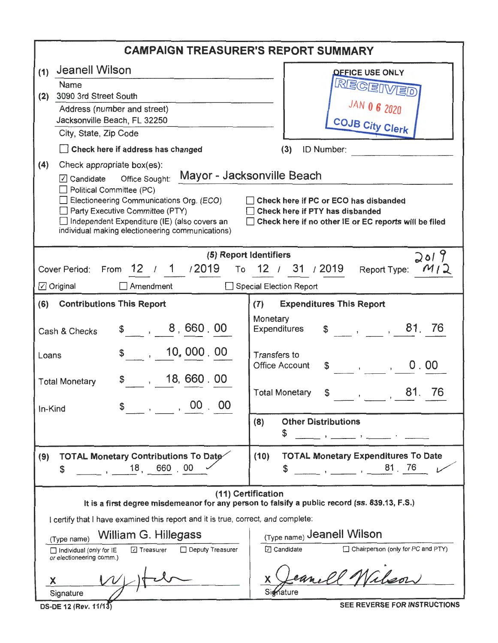|                                                                                                                                                                                                                                                                                                                                                                                                                                                                                                                 | <b>CAMPAIGN TREASURER'S REPORT SUMMARY</b>                                                                                                                                                                                                                                                                                                                                                             |
|-----------------------------------------------------------------------------------------------------------------------------------------------------------------------------------------------------------------------------------------------------------------------------------------------------------------------------------------------------------------------------------------------------------------------------------------------------------------------------------------------------------------|--------------------------------------------------------------------------------------------------------------------------------------------------------------------------------------------------------------------------------------------------------------------------------------------------------------------------------------------------------------------------------------------------------|
| <b>Jeanell Wilson</b><br>(1)<br>Name<br>3090 3rd Street South<br>(2)<br>Address (number and street)<br>Jacksonville Beach, FL 32250<br>City, State, Zip Code<br>Check here if address has changed<br>(4)<br>Check appropriate box(es):<br>Office Sought:<br>$\boxed{\triangle}$ Candidate<br>$\Box$ Political Committee (PC)<br>Electioneering Communications Org. (ECO)<br>Party Executive Committee (PTY)<br>Independent Expenditure (IE) (also covers an<br>individual making electioneering communications) | <b>OFFICE USE ONLY</b><br>RECEI<br>JAN 0 6 2020<br><b>COJB City Clerk</b><br>ID Number:<br>(3)<br>Mayor - Jacksonville Beach<br>Check here if PC or ECO has disbanded<br>Check here if PTY has disbanded<br>Check here if no other IE or EC reports will be filed                                                                                                                                      |
| (5) Report Identifiers<br>From 12 / 1 / 2019<br>Cover Period:<br>$\boxed{\triangle}$ Original<br>$\Box$ Amendment<br>(6)<br><b>Contributions This Report</b><br>\$ 8,660.00<br>Cash & Checks<br>10, 000 . 00<br>$\mathbb{S}$ .<br>Loans<br>18,660.00<br>\$.<br><b>Total Monetary</b><br>, 00.00<br>In-Kind                                                                                                                                                                                                      | <b>JO19</b><br>To 12 / 31 / 2019<br>M <sub>1</sub><br>Report Type:<br>Special Election Report<br><b>Expenditures This Report</b><br>(7)<br>Monetary<br>$\frac{1}{2}$ , $\frac{1}{2}$ , 81.76<br><b>Expenditures</b><br><b>Transfers to</b><br><b>Office Account</b><br>0.00<br>$\mathbb{S}$ , ,<br>81.<br><b>Total Monetary</b><br>76<br>\$<br>$\mathbf{r}$<br><b>Other Distributions</b><br>(8)<br>\$ |
| TOTAL Monetary Contributions To Date<br>(9)<br>18, 660, 00<br>\$<br>I certify that I have examined this report and it is true, correct, and complete:<br>William G. Hillegass<br>(Type name)<br>Deputy Treasurer<br>⊡ Treasurer<br>$\Box$ Individual (only for $IE$<br>or electioneering comm.)<br>X<br>Signature<br>DS-DE 12 (Rev. 11/13)                                                                                                                                                                      | <b>TOTAL Monetary Expenditures To Date</b><br>(10)<br>81 76<br>\$<br>(11) Certification<br>It is a first degree misdemeanor for any person to falsify a public record (ss. 839.13, F.S.)<br>(Type name) Jeanell Wilson<br>□ Candidate<br>$\Box$ Chairperson (only for PC and PTY)<br>Signature<br>SEE REVERSE FOR INSTRUCTIONS                                                                         |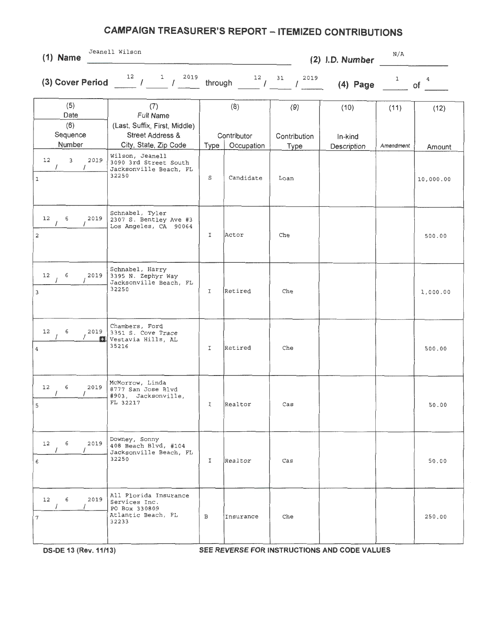| $(1)$ Name                                     | Jeanell Wilson                                                                                       |               |                         |                                  | (2) I.D. Number | N/A          |                      |
|------------------------------------------------|------------------------------------------------------------------------------------------------------|---------------|-------------------------|----------------------------------|-----------------|--------------|----------------------|
|                                                | (3) Cover Period $\frac{12}{1}$ / $\frac{1}{1}$ $\frac{2019}{1}$                                     |               |                         | through $12$ $12$ $12$ $12$ $12$ | $(4)$ Page      | $\mathbf{1}$ | $\overline{4}$<br>of |
| (5)<br>Date<br>(6)<br>Sequence                 | (7)<br><b>Full Name</b><br>(Last, Suffix, First, Middle)<br>Street Address &                         |               | (8)<br>Contributor      | (9)<br>Contribution              | (10)<br>In-kind | (11)         | (12)                 |
| Number<br>12<br>3<br>2019<br>$\mathbf 1$       | City, State, Zip Code<br>Wilson, Jeanell<br>3090 3rd Street South<br>Jacksonville Beach, FL<br>32250 | Type<br>S     | Occupation<br>Candidate | Type<br>Loan                     | Description     | Amendment    | Amount<br>10,000.00  |
| 2019<br>12<br>6<br>$\mathbf{2}$                | Schnabel, Tyler<br>2307 S. Bentley Ave #3<br>Los Angeles, CA 90064                                   | $\mathbbm{I}$ | Actor                   | Che                              |                 |              | 500.00               |
| 12<br>6<br>2019<br>3                           | Schnabel, Harry<br>3395 N. Zephyr Way<br>Jacksonville Beach, FL<br>32250                             | I             | Retired                 | Che                              |                 |              | 1,000.00             |
| 12<br>6<br>2019<br>F.<br>$\overline{4}$        | Chambers, Ford<br>3351 S. Cove Trace<br>Vestavia Hills, AL<br>35216                                  | I             | Retired                 | Che                              |                 |              | 500.00               |
| 6<br>12<br>2019<br>5                           | McMorrow, Linda<br>8777 San Jose Blvd<br>#903, Jacksonville,<br>FL 32217                             | I             | Realtor                 | $\cos$                           |                 |              | 50.00                |
| 2019<br>12<br>$6\overline{6}$<br>$\prime$<br>6 | Downey, Sonny<br>408 Beach Blvd, #104<br>Jacksonville Beach, FL<br>32250                             | $\mathbf{I}$  | Realtor                 | $\cos$                           |                 |              | 50.00                |
| 12<br>6<br>2019<br>7                           | All Florida Insurance<br>Services Inc.<br>PO Box 330809<br>Atlantic Beach, FL<br>32233               | $\, {\bf B}$  | Insurance               | Che                              |                 |              | 250.00               |

**OS-DE 13 (Rev.11/13) SEE REVERSE FOR INSTRUCTIONS AND CODE VALUES**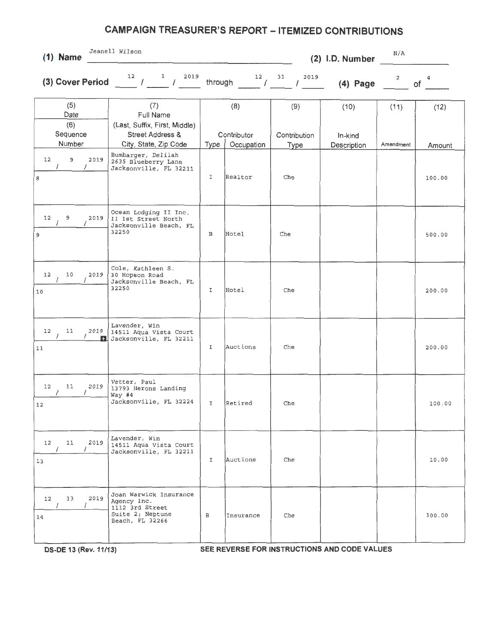| $(1)$ Name                         | Jeanell Wilson                                                                                  |              |                       |                     | (2) I.D. Number | N/A            |                  |
|------------------------------------|-------------------------------------------------------------------------------------------------|--------------|-----------------------|---------------------|-----------------|----------------|------------------|
| (3) Cover Period                   | $\mathbf{1}$<br>2019<br>12<br>$\overline{\phantom{a}}$<br>$\sqrt{2}$                            | through      | $^{12}$ /             | 2019<br>31          | $(4)$ Page      | $\overline{a}$ | 4<br>of          |
| (5)<br>Date<br>(6)<br>Sequence     | (7)<br>Full Name<br>(Last, Suffix, First, Middle)<br><b>Street Address &amp;</b>                |              | (8)<br>Contributor    | (9)<br>Contribution | (10)<br>In-kind | (11)           | (12)             |
| Number<br>9<br>12<br>2019<br>8     | City, State, Zip Code<br>Bumbarger, Delilah<br>2635 Blueberry Lane<br>Jacksonville, FL 32211    | Type<br>I    | Occupation<br>Realtor | <b>Type</b><br>Che  | Description     | Amendment      | Amount<br>100.00 |
| 12<br>9<br>2019<br>9               | Ocean Lodging II Inc.<br>11 1st Street North<br>Jacksonville Beach, FL<br>32250                 | В            | Hotel                 | Che                 |                 |                | 500.00           |
| 12<br>10<br>2019<br>10             | Cole, Kathleen S.<br>30 Hopson Road<br>Jacksonville Beach, FL<br>32250                          | I            | Hotel                 | Che                 |                 |                | 200.00           |
| 2019<br>12<br>11<br>11             | Lavender, Win<br>14511 Aqua Vista Court<br>1 Jacksonville, FL 32211                             | I            | Auctions              | Che                 |                 |                | 200.00           |
| 2019<br>12<br>11<br>12             | Vetter, Paul<br>13793 Herons Landing<br>Way #4<br>Jacksonville, FL 32224                        | I            | Retired               | Che                 |                 |                | 100.00           |
| 2019<br>12<br>11<br>13             | Lavender, Win<br>14511 Aqua Vista Court<br>Jacksonville, FL 32211                               | I.           | Auctions              | Che                 |                 |                | 10.00            |
| 2019<br>13<br>12<br>$\prime$<br>14 | Joan Warwick Insurance<br>Agency Inc.<br>1112 3rd Street<br>Suite 2; Neptune<br>Beach, FL 32266 | $\mathbf{B}$ | Insurance             | Che                 |                 |                | 100.00           |
|                                    |                                                                                                 |              |                       |                     |                 |                |                  |

**OS-DE 13 (Rev.11/13) SEE REVERSE FOR INSTRUCTIONS AND CODE VALUES**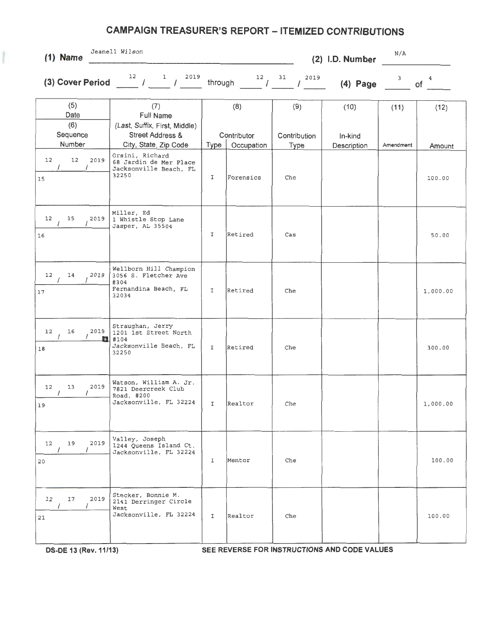| $(1)$ Name                               | Jeanell Wilson                                                                                            |              |                                  |                                    | (2) I.D. Number                | N/A               |                |
|------------------------------------------|-----------------------------------------------------------------------------------------------------------|--------------|----------------------------------|------------------------------------|--------------------------------|-------------------|----------------|
| (3) Cover Period                         | 12<br>2019<br>1<br>$\sim$ $\sim$<br>$\sqrt{ }$                                                            | through      | $12$ /                           | 31<br>2019<br>$\prime$             | $(4)$ Page                     | 3                 | 4<br>of        |
| (5)<br>Date<br>(6)<br>Sequence<br>Number | (7)<br>Full Name<br>(Last, Suffix, First, Middle)<br><b>Street Address &amp;</b><br>City, State, Zip Code | Type         | (8)<br>Contributor<br>Occupation | (9)<br>Contribution<br><b>Type</b> | (10)<br>In-kind<br>Description | (11)<br>Amendment | (12)<br>Amount |
| 12<br>12<br>2019<br>$\prime$<br>15       | Orsini, Richard<br>68 Jardin de Mer Place<br>Jacksonville Beach, FL<br>32250                              | I            | Forensics                        | Che                                |                                |                   | 100.00         |
| 12<br>15<br>2019<br>16                   | Miller, Ed<br>1 Whistle Stop Lane<br>Jasper, AL 35504                                                     | I            | Retired                          | Cas                                |                                |                   | 50.00          |
| 12<br>14<br>2019<br>17                   | Wellborn Hill Champion<br>3056 S. Fletcher Ave<br>#304<br>Fernandina Beach, FL<br>32034                   | $\mathbf I$  | Retired                          | Che                                |                                |                   | 1,000.00       |
| 16<br>2019<br>12<br>18                   | Straughan, Jerry<br>1201 1st Street North<br>14104<br>Jacksonville Beach, FL<br>32250                     | I            | Retired                          | Che                                |                                |                   | 300.00         |
| 12<br>13<br>2019<br>19                   | Watson, William A. Jr.<br>7821 Deercreek Club<br>Road, #200<br>Jacksonville, FL 32224                     | $\mathbf{I}$ | Realtor                          | Che                                |                                |                   | 1,000.00       |
| 19<br>2019<br>12<br>20                   | Valley, Joseph<br>1244 Queens Island Ct.<br>Jacksonville, FL 32224                                        | I            | Mentor                           | Che                                |                                |                   | 100.00         |
| 12<br>17<br>2019<br>21                   | Stecker, Bonnie M.<br>2141 Derringer Circle<br>West<br>Jacksonville, FL 32224                             | I            | Realtor                          | Che                                |                                |                   | 100.00         |

 $\frac{1}{2}$ 

**DS-DE 13 (Rev.11/13) SEE REVERSE FOR INSTRUCTIONS AND CODE VALUES**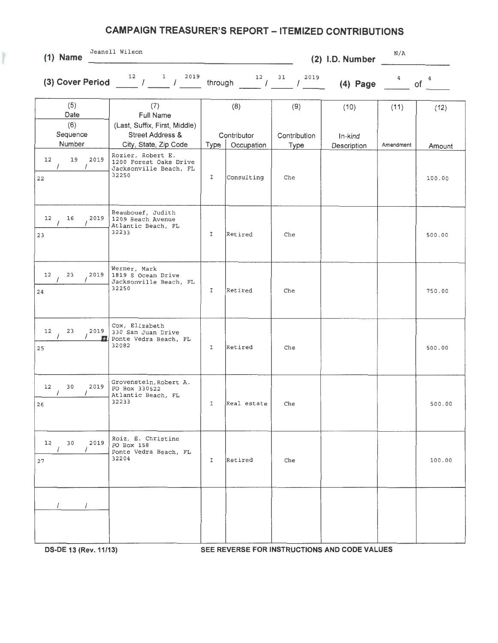| $(1)$ Name                                                 | Jeanell Wilson                                                                                                                                                                                                                                                                                                                                                                                                    |              |                          |                     | (2) I.D. Number | N/A       |                  |
|------------------------------------------------------------|-------------------------------------------------------------------------------------------------------------------------------------------------------------------------------------------------------------------------------------------------------------------------------------------------------------------------------------------------------------------------------------------------------------------|--------------|--------------------------|---------------------|-----------------|-----------|------------------|
|                                                            | (3) Cover Period $\frac{12}{\sqrt{1-\frac{1}{\sqrt{1-\frac{1}{\sqrt{1-\frac{1}{\sqrt{1-\frac{1}{\sqrt{1-\frac{1}{\sqrt{1-\frac{1}{\sqrt{1-\frac{1}{\sqrt{1-\frac{1}{\sqrt{1-\frac{1}{\sqrt{1-\frac{1}{\sqrt{1-\frac{1}{\sqrt{1-\frac{1}{\sqrt{1-\frac{1}{\sqrt{1-\frac{1}{\sqrt{1-\frac{1}{\sqrt{1-\frac{1}{\sqrt{1-\frac{1}{\sqrt{1-\frac{1}{\sqrt{1-\frac{1}{\sqrt{1-\frac{1}{\sqrt{1-\frac{1}{\sqrt{1-\frac{1$ |              | through $12$ $12$ $31$   | 2019<br>$\prime$    | $(4)$ Page      | 4         | 4<br>of          |
| (5)<br>Date<br>(6)<br>Sequence                             | (7)<br>Full Name<br>(Last, Suffix, First, Middle)<br><b>Street Address &amp;</b>                                                                                                                                                                                                                                                                                                                                  |              | (8)<br>Contributor       | (9)<br>Contribution | (10)<br>In-kind | (11)      | (12)             |
| Number<br>12<br>19<br>2019<br>$\sqrt{2}$<br>$\prime$<br>22 | City, State, Zip Code<br>Rozier, Robert E.<br>1200 Forest Oaks Drive<br>Jacksonville Beach, FL<br>32250                                                                                                                                                                                                                                                                                                           | Type<br>I    | Occupation<br>Consulting | <b>Type</b><br>Che  | Description     | Amendment | Amount<br>100.00 |
| 12<br>16<br>2019<br>23                                     | Beaubouef, Judith<br>1209 Beach Avenue<br>Atlantic Beach, FL<br>32233                                                                                                                                                                                                                                                                                                                                             | I            | Retired                  | Che                 |                 |           | 500.00           |
| 23<br>12<br>2019<br>24                                     | Werner, Mark<br>1819 S Ocean Drive<br>Jacksonville Beach, FL<br>32250                                                                                                                                                                                                                                                                                                                                             | I            | Retired                  | Che                 |                 |           | 750.00           |
| 12<br>23<br>2019<br>25                                     | Cox, Elizabeth<br>330 San Juan Drive<br>Ponte Vedra Beach, FL<br>32082                                                                                                                                                                                                                                                                                                                                            | I            | Retired                  | Che                 |                 |           | 500.00           |
| 12<br>30<br>2019<br>26                                     | Grovenstein, Robert A.<br>PO Box 330522<br>Atlantic Beach, FL<br>32233                                                                                                                                                                                                                                                                                                                                            | I            | Real estate              | Che                 |                 |           | 500.00           |
| 12<br>30<br>2019<br>27                                     | Roiz, E. Christine<br>PO Box 158<br>Ponte Vedra Beach, FL<br>32204                                                                                                                                                                                                                                                                                                                                                | $\mathbf{I}$ | Retired                  | Che                 |                 |           | 100.00           |
|                                                            |                                                                                                                                                                                                                                                                                                                                                                                                                   |              |                          |                     |                 |           |                  |

**OS-DE 13 (Rev.11/13) SEE REVERSE FOR INSTRUCTIONS AND CODE VALUES**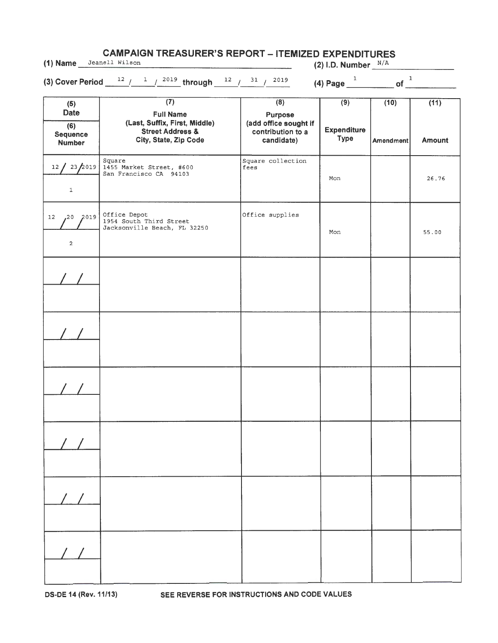| <b>CAMPAIGN TREASURER'S REPORT – ITEMIZED EXPENDITURES</b><br>(1) Name Jeanell Wilson<br>(2) I.D. Number $\frac{N/A}{N}$ |                                                                                                                               |                                                                                                |                                            |                               |                       |
|--------------------------------------------------------------------------------------------------------------------------|-------------------------------------------------------------------------------------------------------------------------------|------------------------------------------------------------------------------------------------|--------------------------------------------|-------------------------------|-----------------------|
|                                                                                                                          | (3) Cover Period $\frac{12}{1}$ / $\frac{1}{2019}$ through $\frac{12}{1}$ / $\frac{31}{1}$ / $\frac{2019}{1}$                 |                                                                                                | (4) Page $\frac{1}{\sqrt{1-\frac{1}{2}}}\$ | of $\overline{\phantom{a}}^1$ |                       |
| (5)<br><b>Date</b><br>(6)<br><b>Sequence</b><br><b>Number</b>                                                            | $\overline{(7)}$<br><b>Full Name</b><br>(Last, Suffix, First, Middle)<br><b>Street Address &amp;</b><br>City, State, Zip Code | $\overline{(8)}$<br><b>Purpose</b><br>(add office sought if<br>contribution to a<br>candidate) | (9)<br><b>Expenditure</b><br><b>Type</b>   | (10)<br><b>Amendment</b>      | (11)<br><b>Amount</b> |
| 12 / 23 / 2019<br>$\mathbf 1$                                                                                            | Square<br>1455 Market Street, #600<br>San Francisco CA 94103                                                                  | Square collection<br>fees                                                                      | Mon                                        |                               | 26.76                 |
| 2020<br>12<br>$\overline{a}$                                                                                             | Office Depot<br>1954 South Third Street<br>Jacksonville Beach, FL 32250                                                       | Office supplies                                                                                | Mon                                        |                               | 55.00                 |
|                                                                                                                          |                                                                                                                               |                                                                                                |                                            |                               |                       |
|                                                                                                                          |                                                                                                                               |                                                                                                |                                            |                               |                       |
|                                                                                                                          |                                                                                                                               |                                                                                                |                                            |                               |                       |
|                                                                                                                          |                                                                                                                               |                                                                                                |                                            |                               |                       |
|                                                                                                                          |                                                                                                                               |                                                                                                |                                            |                               |                       |
|                                                                                                                          |                                                                                                                               |                                                                                                |                                            |                               |                       |